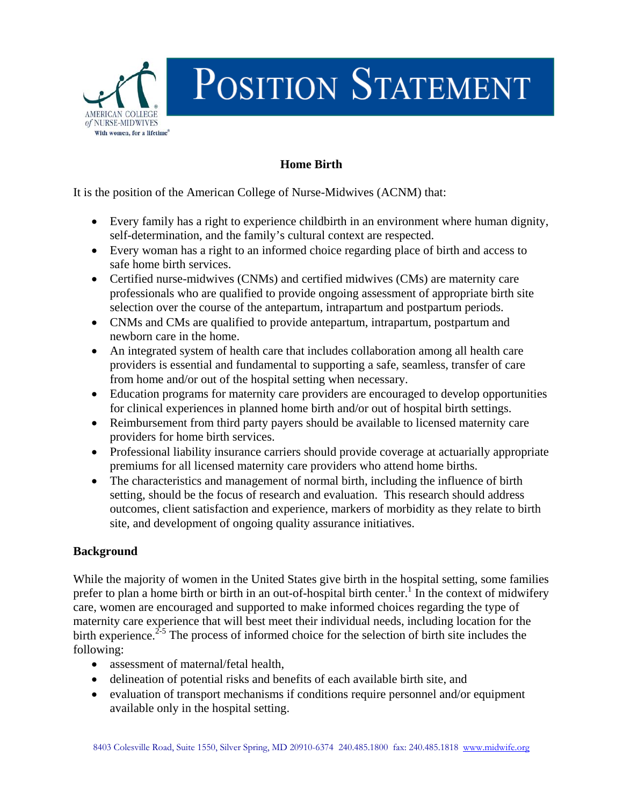

## **Home Birth**

It is the position of the American College of Nurse-Midwives (ACNM) that:

- Every family has a right to experience childbirth in an environment where human dignity, self-determination, and the family's cultural context are respected.
- Every woman has a right to an informed choice regarding place of birth and access to safe home birth services.
- Certified nurse-midwives (CNMs) and certified midwives (CMs) are maternity care professionals who are qualified to provide ongoing assessment of appropriate birth site selection over the course of the antepartum, intrapartum and postpartum periods.
- CNMs and CMs are qualified to provide antepartum, intrapartum, postpartum and newborn care in the home.
- An integrated system of health care that includes collaboration among all health care providers is essential and fundamental to supporting a safe, seamless, transfer of care from home and/or out of the hospital setting when necessary.
- Education programs for maternity care providers are encouraged to develop opportunities for clinical experiences in planned home birth and/or out of hospital birth settings.
- Reimbursement from third party payers should be available to licensed maternity care providers for home birth services.
- Professional liability insurance carriers should provide coverage at actuarially appropriate premiums for all licensed maternity care providers who attend home births.
- The characteristics and management of normal birth, including the influence of birth setting, should be the focus of research and evaluation. This research should address outcomes, client satisfaction and experience, markers of morbidity as they relate to birth site, and development of ongoing quality assurance initiatives.

## **Background**

While the majority of women in the United States give birth in the hospital setting, some families prefer to plan a home birth or birth in an out-of-hospital birth center.<sup>1</sup> In the context of midwifery care, women are encouraged and supported to make informed choices regarding the type of maternity care experience that will best meet their individual needs, including location for the birth experience.<sup>2-5</sup> The process of informed choice for the selection of birth site includes the following:

- assessment of maternal/fetal health,
- delineation of potential risks and benefits of each available birth site, and
- evaluation of transport mechanisms if conditions require personnel and/or equipment available only in the hospital setting.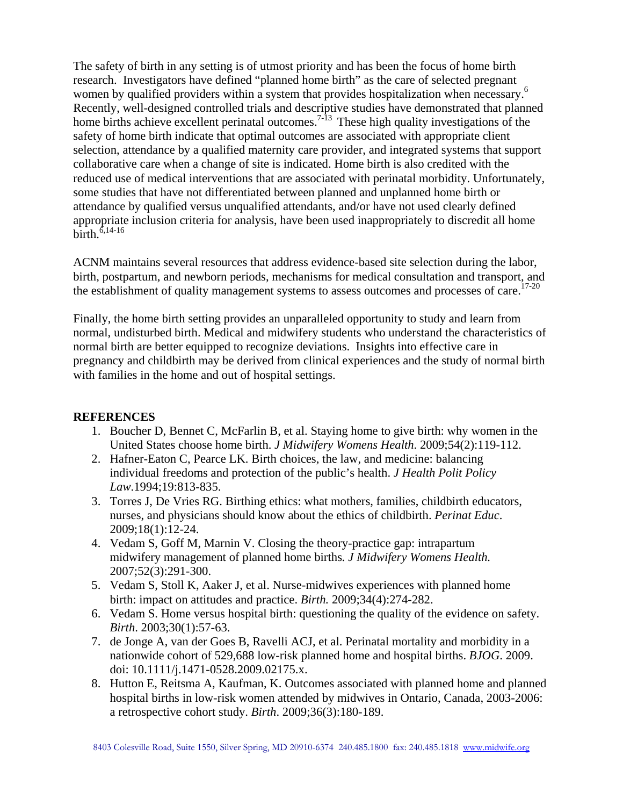The safety of birth in any setting is of utmost priority and has been the focus of home birth research. Investigators have defined "planned home birth" as the care of selected pregnant women by qualified providers within a system that provides hospitalization when necessary.<sup>6</sup> Recently, well-designed controlled trials and descriptive studies have demonstrated that planned home births achieve excellent perinatal outcomes.<sup>7-13</sup> These high quality investigations of the safety of home birth indicate that optimal outcomes are associated with appropriate client selection, attendance by a qualified maternity care provider, and integrated systems that support collaborative care when a change of site is indicated. Home birth is also credited with the reduced use of medical interventions that are associated with perinatal morbidity. Unfortunately, some studies that have not differentiated between planned and unplanned home birth or attendance by qualified versus unqualified attendants, and/or have not used clearly defined appropriate inclusion criteria for analysis, have been used inappropriately to discredit all home birth $\overline{6}$ , 14-16

ACNM maintains several resources that address evidence-based site selection during the labor, birth, postpartum, and newborn periods, mechanisms for medical consultation and transport, and the establishment of quality management systems to assess outcomes and processes of care.<sup>17-20</sup>

Finally, the home birth setting provides an unparalleled opportunity to study and learn from normal, undisturbed birth. Medical and midwifery students who understand the characteristics of normal birth are better equipped to recognize deviations. Insights into effective care in pregnancy and childbirth may be derived from clinical experiences and the study of normal birth with families in the home and out of hospital settings.

## **REFERENCES**

- 1. Boucher D, Bennet C, McFarlin B, et al. Staying home to give birth: why women in the United States choose home birth. *[J Midwifery Womens Health](http://www.sciencedirect.com/science/journal/15269523)*. 2009[;54\(2](http://www.sciencedirect.com/science?_ob=PublicationURL&_tockey=%23TOC%236605%232009%23999459997%23952099%23FLA%23&_cdi=6605&_pubType=J&view=c&_auth=y&_acct=C000050484&_version=1&_urlVersion=0&_userid=1022551&md5=3a18c4294794e7963bd0d60c939faac6)):119-112.
- 2. Hafner-Eaton C, Pearce LK. Birth choices, the law, and medicine: balancing individual freedoms and protection of the public's health. *J Health Polit Policy Law*.1994;19:813-835.
- 3. Torres J, De Vries RG. Birthing ethics: what mothers, families, childbirth educators, nurses, and physicians should know about the ethics of childbirth. *Perinat Educ*. 2009;18(1):12-24.
- 4. Vedam S, Goff M, Marnin V. Closing the theory-practice gap: intrapartum midwifery management of planned home births*. J Midwifery Womens Health.*  2007;52(3):291-300.
- 5. Vedam S, Stoll K, Aaker J, et al. Nurse-midwives experiences with planned home birth: impact on attitudes and practice. *Birth.* 2009;34(4):274-282.
- 6. Vedam S. Home versus hospital birth: questioning the quality of the evidence on safety. *Birth*. 2003;30(1):57-63.
- 7. de Jonge A, van der Goes B, Ravelli ACJ, et al. Perinatal mortality and morbidity in a nationwide cohort of 529,688 low-risk planned home and hospital births. *BJOG*. 2009. doi: 10.1111/j.1471-0528.2009.02175.x.
- 8. Hutton E, Reitsma A, Kaufman, K. Outcomes associated with planned home and planned hospital births in low-risk women attended by midwives in Ontario, Canada, 2003-2006: a retrospective cohort study. *Birth*. 2009;36(3):180-189.